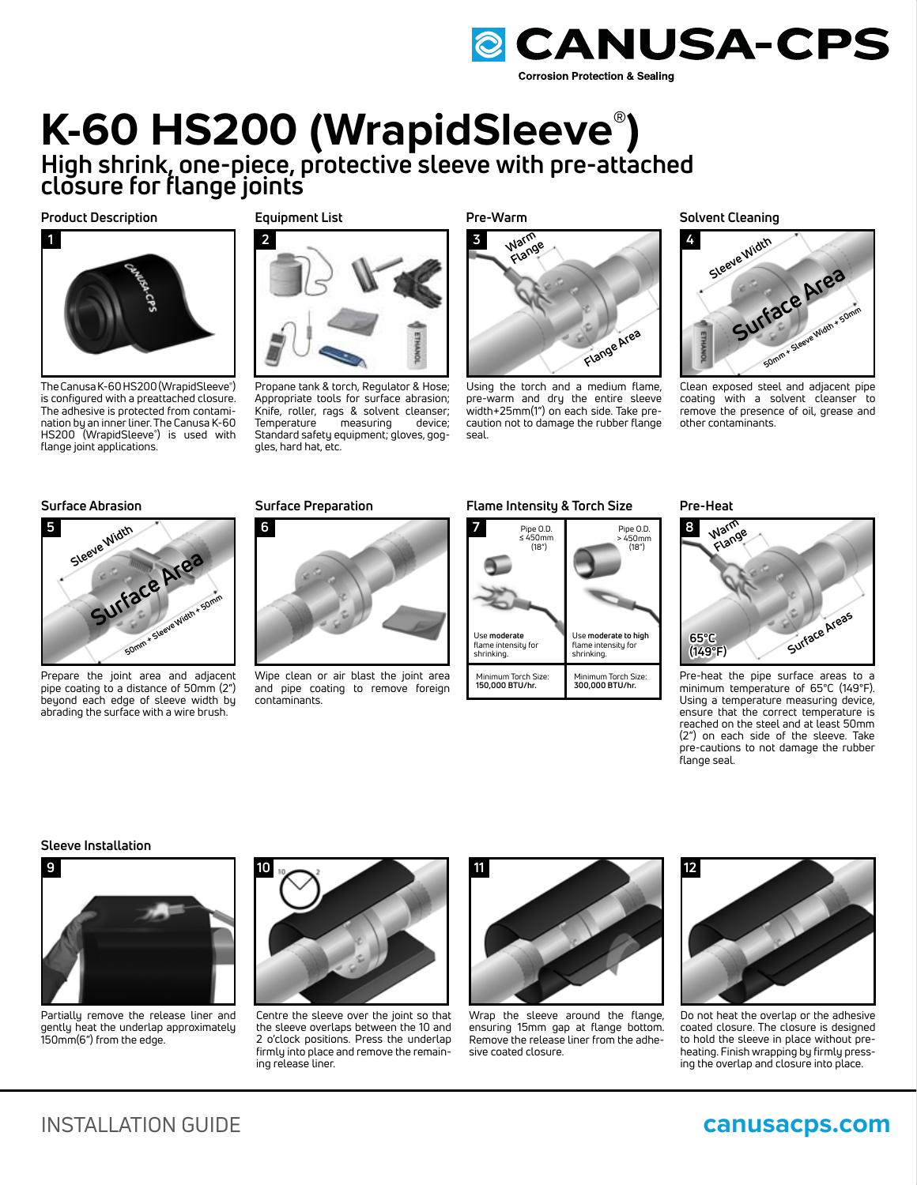

# **K-60 HS200 (WrapidSleeve® ) High shrink, one-piece, protective sleeve with pre-attached**

**closure for flange joints**

# **Product Description**



The Canusa K-60 HS200 (WrapidSleeve**®** ) is configured with a preattached closure. The adhesive is protected from contamination by an inner liner. The Canusa K-60 HS200 (WrapidSleeve**®** ) is used with flange joint applications.

# **Equipment List**



Propane tank & torch, Regulator & Hose; Appropriate tools for surface abrasion; Knife, roller, rags & solvent cleanser;<br>Temperature measuring device; Temperature Standard safety equipment; gloves, goggles, hard hat, etc.

**Pre-Warm**



Using the torch and a medium flame, pre-warm and dry the entire sleeve width+25mm(1") on each side. Take precaution not to damage the rubber flange seal.

**Solvent Cleaning**



Clean exposed steel and adjacent pipe coating with a solvent cleanser to remove the presence of oil, grease and other contaminants.

# **Surface Abrasion**



Prepare the joint area and adjacent pipe coating to a distance of 50mm (2") beyond each edge of sleeve width by abrading the surface with a wire brush.

# **Surface Preparation**



Wipe clean or air blast the joint area and pipe coating to remove foreign contaminants.

# **Flame Intensity & Torch Size**



**Pre-Heat**



Pre-heat the pipe surface areas to a minimum temperature of 65°C (149°F). Using a temperature measuring device, ensure that the correct temperature is reached on the steel and at least 50mm (2") on each side of the sleeve. Take pre-cautions to not damage the rubber flange seal.

### **Sleeve Installation**



Partially remove the release liner and gently heat the underlap approximately 150mm(6") from the edge.



Centre the sleeve over the joint so that the sleeve overlaps between the 10 and 2 o'clock positions. Press the underlap firmly into place and remove the remaining release liner.



Wrap the sleeve around the flange, ensuring 15mm gap at flange bottom. Remove the release liner from the adhesive coated closure.



Do not heat the overlap or the adhesive coated closure. The closure is designed to hold the sleeve in place without preheating. Finish wrapping by firmly pressing the overlap and closure into place.

# INSTALLATION GUIDE **canusacps.com**